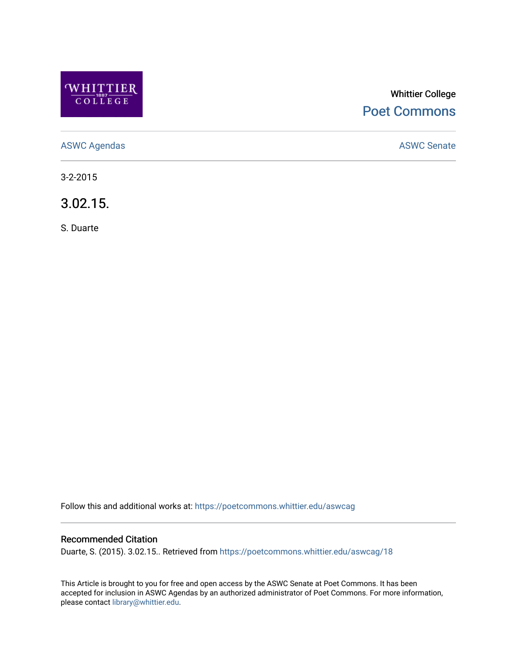

# Whittier College [Poet Commons](https://poetcommons.whittier.edu/)

[ASWC Agendas](https://poetcommons.whittier.edu/aswcag) **ASWC Senate** 

3-2-2015

3.02.15.

S. Duarte

Follow this and additional works at: [https://poetcommons.whittier.edu/aswcag](https://poetcommons.whittier.edu/aswcag?utm_source=poetcommons.whittier.edu%2Faswcag%2F18&utm_medium=PDF&utm_campaign=PDFCoverPages) 

## Recommended Citation

Duarte, S. (2015). 3.02.15.. Retrieved from [https://poetcommons.whittier.edu/aswcag/18](https://poetcommons.whittier.edu/aswcag/18?utm_source=poetcommons.whittier.edu%2Faswcag%2F18&utm_medium=PDF&utm_campaign=PDFCoverPages) 

This Article is brought to you for free and open access by the ASWC Senate at Poet Commons. It has been accepted for inclusion in ASWC Agendas by an authorized administrator of Poet Commons. For more information, please contact [library@whittier.edu](mailto:library@whittier.edu).